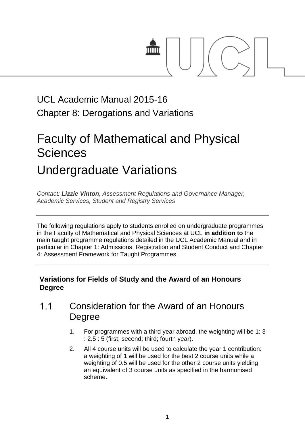

## UCL Academic Manual 2015-16 Chapter 8: Derogations and Variations

# Faculty of Mathematical and Physical **Sciences** Undergraduate Variations

*Contact: [Lizzie Vinton](mailto:s.hinton@ucl.ac.uk), Assessment Regulations and Governance Manager, Academic Services, Student and Registry Services*

The following regulations apply to students enrolled on undergraduate programmes in the Faculty of Mathematical and Physical Sciences at UCL **in addition to** the main taught programme regulations detailed in the UCL Academic Manual and in particular in Chapter 1: Admissions, Registration and Student Conduct and Chapter 4: Assessment Framework for Taught Programmes.

## **Variations for Fields of Study and the Award of an Honours Degree**

- $1.1$ Consideration for the Award of an Honours Degree
	- 1. For programmes with a third year abroad, the weighting will be 1: 3 : 2.5 : 5 (first; second; third; fourth year).
	- 2. All 4 course units will be used to calculate the year 1 contribution: a weighting of 1 will be used for the best 2 course units while a weighting of 0.5 will be used for the other 2 course units yielding an equivalent of 3 course units as specified in the harmonised scheme.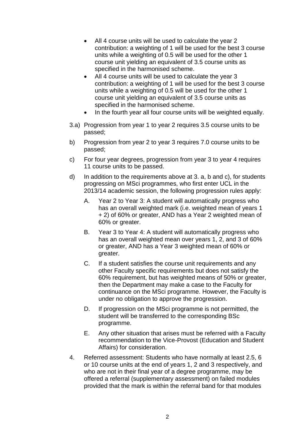- All 4 course units will be used to calculate the year 2 contribution: a weighting of 1 will be used for the best 3 course units while a weighting of 0.5 will be used for the other 1 course unit yielding an equivalent of 3.5 course units as specified in the harmonised scheme.
- All 4 course units will be used to calculate the year 3 contribution: a weighting of 1 will be used for the best 3 course units while a weighting of 0.5 will be used for the other 1 course unit yielding an equivalent of 3.5 course units as specified in the harmonised scheme.
- In the fourth year all four course units will be weighted equally.
- 3.a) Progression from year 1 to year 2 requires 3.5 course units to be passed;
- b) Progression from year 2 to year 3 requires 7.0 course units to be passed;
- c) For four year degrees, progression from year 3 to year 4 requires 11 course units to be passed.
- d) In addition to the requirements above at 3. a, b and c), for students progressing on MSci programmes, who first enter UCL in the 2013/14 academic session, the following progression rules apply:
	- A. Year 2 to Year 3: A student will automatically progress who has an overall weighted mark (i.e. weighted mean of years 1 + 2) of 60% or greater, AND has a Year 2 weighted mean of 60% or greater.
	- B. Year 3 to Year 4: A student will automatically progress who has an overall weighted mean over years 1, 2, and 3 of 60% or greater, AND has a Year 3 weighted mean of 60% or greater.
	- C. If a student satisfies the course unit requirements and any other Faculty specific requirements but does not satisfy the 60% requirement, but has weighted means of 50% or greater, then the Department may make a case to the Faculty for continuance on the MSci programme. However, the Faculty is under no obligation to approve the progression.
	- D. If progression on the MSci programme is not permitted, the student will be transferred to the corresponding BSc programme.
	- E. Any other situation that arises must be referred with a Faculty recommendation to the Vice-Provost (Education and Student Affairs) for consideration.
- 4. Referred assessment: Students who have normally at least 2.5, 6 or 10 course units at the end of years 1, 2 and 3 respectively, and who are not in their final year of a degree programme, may be offered a referral (supplementary assessment) on failed modules provided that the mark is within the referral band for that modules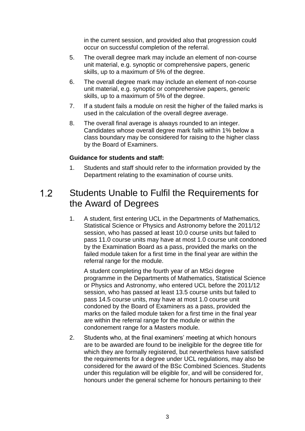in the current session, and provided also that progression could occur on successful completion of the referral.

- 5. The overall degree mark may include an element of non-course unit material, e.g. synoptic or comprehensive papers, generic skills, up to a maximum of 5% of the degree.
- 6. The overall degree mark may include an element of non-course unit material, e.g. synoptic or comprehensive papers, generic skills, up to a maximum of 5% of the degree.
- 7. If a student fails a module on resit the higher of the failed marks is used in the calculation of the overall degree average.
- 8. The overall final average is always rounded to an integer. Candidates whose overall degree mark falls within 1% below a class boundary may be considered for raising to the higher class by the Board of Examiners.

## **Guidance for students and staff:**

1. Students and staff should refer to the information provided by the Department relating to the examination of course units.

## $1.2<sub>2</sub>$ Students Unable to Fulfil the Requirements for the Award of Degrees

1. A student, first entering UCL in the Departments of Mathematics, Statistical Science or Physics and Astronomy before the 2011/12 session, who has passed at least 10.0 course units but failed to pass 11.0 course units may have at most 1.0 course unit condoned by the Examination Board as a pass, provided the marks on the failed module taken for a first time in the final year are within the referral range for the module.

A student completing the fourth year of an MSci degree programme in the Departments of Mathematics, Statistical Science or Physics and Astronomy, who entered UCL before the 2011/12 session, who has passed at least 13.5 course units but failed to pass 14.5 course units, may have at most 1.0 course unit condoned by the Board of Examiners as a pass, provided the marks on the failed module taken for a first time in the final year are within the referral range for the module or within the condonement range for a Masters module.

2. Students who, at the final examiners' meeting at which honours are to be awarded are found to be ineligible for the degree title for which they are formally registered, but nevertheless have satisfied the requirements for a degree under UCL regulations, may also be considered for the award of the BSc Combined Sciences. Students under this regulation will be eligible for, and will be considered for, honours under the general scheme for honours pertaining to their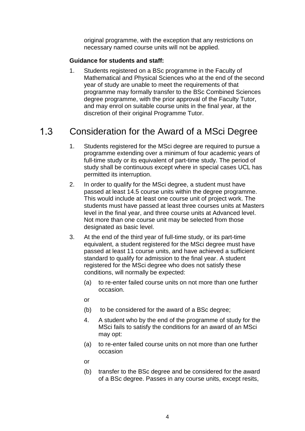original programme, with the exception that any restrictions on necessary named course units will not be applied.

## **Guidance for students and staff:**

1. Students registered on a BSc programme in the Faculty of Mathematical and Physical Sciences who at the end of the second year of study are unable to meet the requirements of that programme may formally transfer to the BSc Combined Sciences degree programme, with the prior approval of the Faculty Tutor, and may enrol on suitable course units in the final year, at the discretion of their original Programme Tutor.

#### $1.3$ Consideration for the Award of a MSci Degree

- 1. Students registered for the MSci degree are required to pursue a programme extending over a minimum of four academic years of full-time study or its equivalent of part-time study. The period of study shall be continuous except where in special cases UCL has permitted its interruption.
- 2. In order to qualify for the MSci degree, a student must have passed at least 14.5 course units within the degree programme. This would include at least one course unit of project work. The students must have passed at least three courses units at Masters level in the final year, and three course units at Advanced level. Not more than one course unit may be selected from those designated as basic level.
- 3. At the end of the third year of full-time study, or its part-time equivalent, a student registered for the MSci degree must have passed at least 11 course units, and have achieved a sufficient standard to qualify for admission to the final year. A student registered for the MSci degree who does not satisfy these conditions, will normally be expected:
	- (a) to re-enter failed course units on not more than one further occasion.
	- or
	- (b) to be considered for the award of a BSc degree;
	- 4. A student who by the end of the programme of study for the MSci fails to satisfy the conditions for an award of an MSci may opt:
	- (a) to re-enter failed course units on not more than one further occasion
	- or
	- (b) transfer to the BSc degree and be considered for the award of a BSc degree. Passes in any course units, except resits,